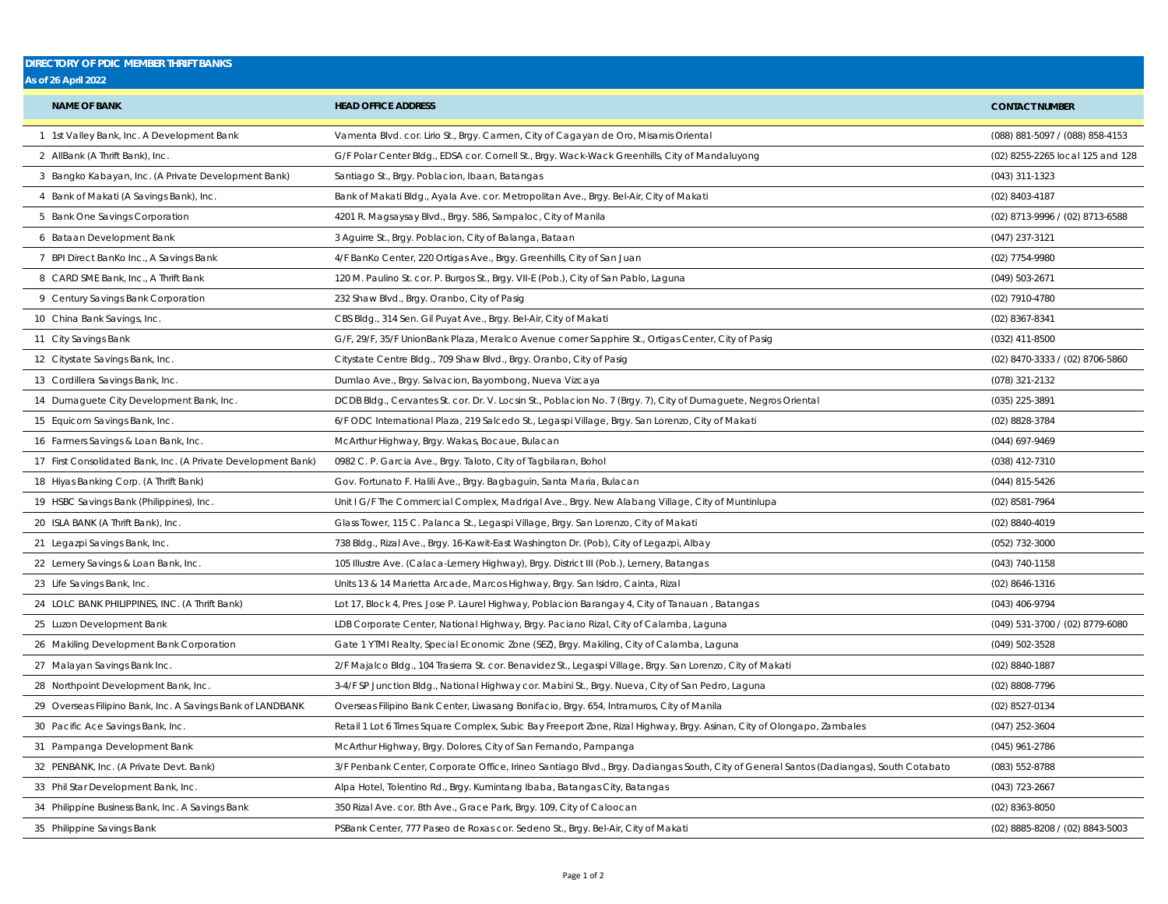## **DIRECTORY OF PDIC MEMBER THRIFT BANKS**

|  |  |  | <b>As of 26 April 2022</b> |  |
|--|--|--|----------------------------|--|
|--|--|--|----------------------------|--|

| <b>NAME OF BANK</b>                                           | <b>HEAD OFFICE ADDRESS</b>                                                                                                             | <b>CONTACT NUMBER</b>            |
|---------------------------------------------------------------|----------------------------------------------------------------------------------------------------------------------------------------|----------------------------------|
| 1 1st Valley Bank, Inc. A Development Bank                    | Vamenta Blvd. cor. Lirio St., Brgy. Carmen, City of Cagayan de Oro, Misamis Oriental                                                   | (088) 881-5097 / (088) 858-4153  |
| 2 AllBank (A Thrift Bank), Inc.                               | G/F Polar Center Bldg., EDSA cor. Cornell St., Brgy. Wack-Wack Greenhills, City of Mandaluyong                                         | (02) 8255-2265 local 125 and 128 |
| 3 Bangko Kabayan, Inc. (A Private Development Bank)           | Santiago St., Brgy. Poblacion, Ibaan, Batangas                                                                                         | (043) 311-1323                   |
| 4 Bank of Makati (A Savings Bank), Inc.                       | Bank of Makati Bldg., Ayala Ave. cor. Metropolitan Ave., Brgy. Bel-Air, City of Makati                                                 | (02) 8403-4187                   |
| 5 Bank One Savings Corporation                                | 4201 R. Magsaysay Blvd., Brgy. 586, Sampaloc, City of Manila                                                                           | (02) 8713-9996 / (02) 8713-6588  |
| 6 Bataan Development Bank                                     | 3 Aguirre St., Brgy. Poblacion, City of Balanga, Bataan                                                                                | $(047)$ 237-3121                 |
| 7 BPI Direct BanKo Inc., A Savings Bank                       | 4/F BanKo Center, 220 Ortigas Ave., Brgy. Greenhills, City of San Juan                                                                 | (02) 7754-9980                   |
| 8 CARD SME Bank, Inc., A Thrift Bank                          | 120 M. Paulino St. cor. P. Burgos St., Brgy. VII-E (Pob.), City of San Pablo, Laguna                                                   | $(049)$ 503-2671                 |
| 9 Century Savings Bank Corporation                            | 232 Shaw Blvd., Brgy. Oranbo, City of Pasig                                                                                            | (02) 7910-4780                   |
| 10 China Bank Savings, Inc.                                   | CBS Bldg., 314 Sen. Gil Puyat Ave., Brgy. Bel-Air, City of Makati                                                                      | (02) 8367-8341                   |
| 11 City Savings Bank                                          | G/F, 29/F, 35/F UnionBank Plaza, Meralco Avenue corner Sapphire St., Ortigas Center, City of Pasig                                     | (032) 411-8500                   |
| 12 Citystate Savings Bank, Inc.                               | Citystate Centre Bldg., 709 Shaw Blvd., Brgy. Oranbo, City of Pasig                                                                    | (02) 8470-3333 / (02) 8706-5860  |
| 13 Cordillera Savings Bank, Inc.                              | Dumlao Ave., Brgy. Salvacion, Bayombong, Nueva Vizcaya                                                                                 | (078) 321-2132                   |
| 14 Dumaguete City Development Bank, Inc.                      | DCDB Bldg., Cervantes St. cor. Dr. V. Locsin St., Poblacion No. 7 (Brgy. 7), City of Dumaguete, Negros Oriental                        | (035) 225-3891                   |
| 15 Equicom Savings Bank, Inc.                                 | 6/F ODC International Plaza, 219 Salcedo St., Legaspi Village, Brgy. San Lorenzo, City of Makati                                       | (02) 8828-3784                   |
| 16 Farmers Savings & Loan Bank, Inc.                          | McArthur Highway, Brgy. Wakas, Bocaue, Bulacan                                                                                         | (044) 697-9469                   |
| 17 First Consolidated Bank, Inc. (A Private Development Bank) | 0982 C. P. Garcia Ave., Brgy. Taloto, City of Tagbilaran, Bohol                                                                        | (038) 412-7310                   |
| 18 Hiyas Banking Corp. (A Thrift Bank)                        | Gov. Fortunato F. Halili Ave., Brgy. Bagbaguin, Santa Maria, Bulacan                                                                   | (044) 815-5426                   |
| 19 HSBC Savings Bank (Philippines), Inc.                      | Unit I G/F The Commercial Complex, Madrigal Ave., Brgy. New Alabang Village, City of Muntinlupa                                        | (02) 8581-7964                   |
| 20 ISLA BANK (A Thrift Bank), Inc.                            | Glass Tower, 115 C. Palanca St., Legaspi Village, Brgy. San Lorenzo, City of Makati                                                    | (02) 8840-4019                   |
| 21 Legazpi Savings Bank, Inc.                                 | 738 Bldg., Rizal Ave., Brgy. 16-Kawit-East Washington Dr. (Pob), City of Legazpi, Albay                                                | (052) 732-3000                   |
| 22 Lemery Savings & Loan Bank, Inc.                           | 105 Illustre Ave. (Calaca-Lemery Highway), Brgy. District III (Pob.), Lemery, Batangas                                                 | (043) 740-1158                   |
| 23 Life Savings Bank, Inc.                                    | Units 13 & 14 Marietta Arcade, Marcos Highway, Brgy. San Isidro, Cainta, Rizal                                                         | (02) 8646-1316                   |
| 24 LOLC BANK PHILIPPINES, INC. (A Thrift Bank)                | Lot 17, Block 4, Pres. Jose P. Laurel Highway, Poblacion Barangay 4, City of Tanauan, Batangas                                         | (043) 406-9794                   |
| 25 Luzon Development Bank                                     | LDB Corporate Center, National Highway, Brgy. Paciano Rizal, City of Calamba, Laguna                                                   | (049) 531-3700 / (02) 8779-6080  |
| 26 Makiling Development Bank Corporation                      | Gate 1 YTMI Realty, Special Economic Zone (SEZ), Brgy. Makiling, City of Calamba, Laguna                                               | (049) 502-3528                   |
| 27 Malayan Savings Bank Inc.                                  | 2/F Majalco Bldg., 104 Trasierra St. cor. Benavidez St., Legaspi Village, Brgy. San Lorenzo, City of Makati                            | (02) 8840-1887                   |
| 28 Northpoint Development Bank, Inc.                          | 3-4/F SP Junction Bldg., National Highway cor. Mabini St., Brgy. Nueva, City of San Pedro, Laguna                                      | (02) 8808-7796                   |
| 29 Overseas Filipino Bank, Inc. A Savings Bank of LANDBANK    | Overseas Filipino Bank Center, Liwasang Bonifacio, Brgy. 654, Intramuros, City of Manila                                               | (02) 8527-0134                   |
| 30 Pacific Ace Savings Bank, Inc.                             | Retail 1 Lot 6 Times Square Complex, Subic Bay Freeport Zone, Rizal Highway, Brgy. Asinan, City of Olongapo, Zambales                  | $(047)$ 252-3604                 |
| 31 Pampanga Development Bank                                  | McArthur Highway, Brgy. Dolores, City of San Fernando, Pampanga                                                                        | (045) 961-2786                   |
| 32 PENBANK, Inc. (A Private Devt. Bank)                       | 3/F Penbank Center, Corporate Office, Irineo Santiago Blvd., Brgy. Dadiangas South, City of General Santos (Dadiangas), South Cotabato | (083) 552-8788                   |
| 33 Phil Star Development Bank, Inc.                           | Alpa Hotel, Tolentino Rd., Brgy. Kumintang Ibaba, Batangas City, Batangas                                                              | (043) 723-2667                   |
| 34 Philippine Business Bank, Inc. A Savings Bank              | 350 Rizal Ave. cor. 8th Ave., Grace Park, Brgy. 109, City of Caloocan                                                                  | (02) 8363-8050                   |
| 35 Philippine Savings Bank                                    | PSBank Center, 777 Paseo de Roxas cor. Sedeno St., Brgy. Bel-Air, City of Makati                                                       | (02) 8885-8208 / (02) 8843-5003  |